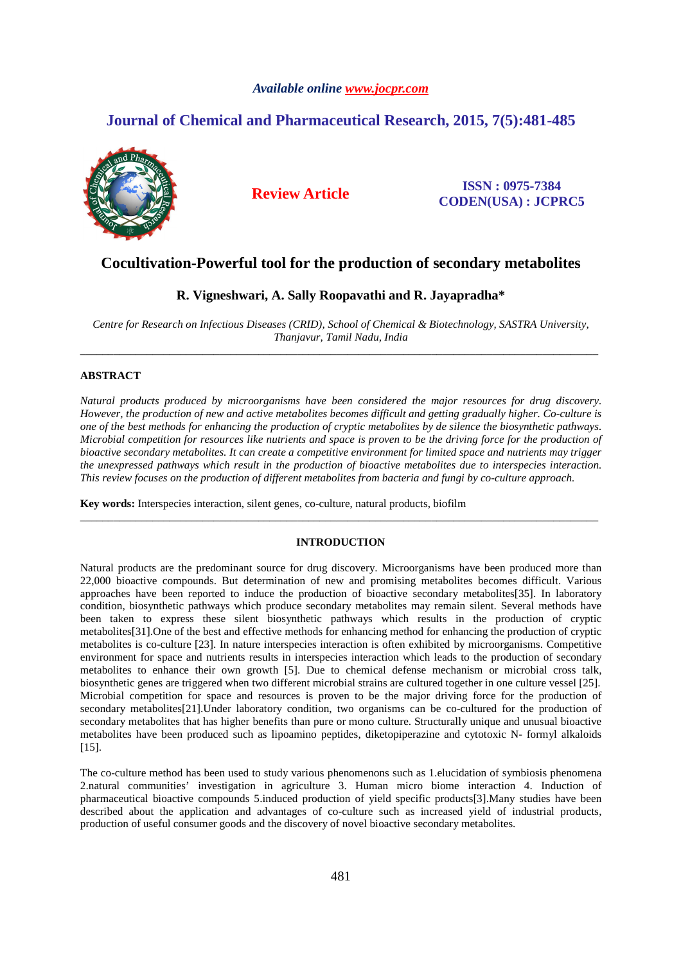# *Available online www.jocpr.com*

# **Journal of Chemical and Pharmaceutical Research, 2015, 7(5):481-485**



**Review Article ISSN : 0975-7384 CODEN(USA) : JCPRC5**

# **Cocultivation-Powerful tool for the production of secondary metabolites**

# **R. Vigneshwari, A. Sally Roopavathi and R. Jayapradha\***

*Centre for Research on Infectious Diseases (CRID), School of Chemical & Biotechnology, SASTRA University, Thanjavur, Tamil Nadu, India*  \_\_\_\_\_\_\_\_\_\_\_\_\_\_\_\_\_\_\_\_\_\_\_\_\_\_\_\_\_\_\_\_\_\_\_\_\_\_\_\_\_\_\_\_\_\_\_\_\_\_\_\_\_\_\_\_\_\_\_\_\_\_\_\_\_\_\_\_\_\_\_\_\_\_\_\_\_\_\_\_\_\_\_\_\_\_\_\_\_\_\_\_\_

## **ABSTRACT**

*Natural products produced by microorganisms have been considered the major resources for drug discovery. However, the production of new and active metabolites becomes difficult and getting gradually higher. Co-culture is one of the best methods for enhancing the production of cryptic metabolites by de silence the biosynthetic pathways. Microbial competition for resources like nutrients and space is proven to be the driving force for the production of bioactive secondary metabolites. It can create a competitive environment for limited space and nutrients may trigger the unexpressed pathways which result in the production of bioactive metabolites due to interspecies interaction. This review focuses on the production of different metabolites from bacteria and fungi by co-culture approach.* 

**Key words:** Interspecies interaction, silent genes, co-culture, natural products, biofilm

### **INTRODUCTION**

\_\_\_\_\_\_\_\_\_\_\_\_\_\_\_\_\_\_\_\_\_\_\_\_\_\_\_\_\_\_\_\_\_\_\_\_\_\_\_\_\_\_\_\_\_\_\_\_\_\_\_\_\_\_\_\_\_\_\_\_\_\_\_\_\_\_\_\_\_\_\_\_\_\_\_\_\_\_\_\_\_\_\_\_\_\_\_\_\_\_\_\_\_

Natural products are the predominant source for drug discovery. Microorganisms have been produced more than 22,000 bioactive compounds. But determination of new and promising metabolites becomes difficult. Various approaches have been reported to induce the production of bioactive secondary metabolites[35]. In laboratory condition, biosynthetic pathways which produce secondary metabolites may remain silent. Several methods have been taken to express these silent biosynthetic pathways which results in the production of cryptic metabolites[31].One of the best and effective methods for enhancing method for enhancing the production of cryptic metabolites is co-culture [23]. In nature interspecies interaction is often exhibited by microorganisms. Competitive environment for space and nutrients results in interspecies interaction which leads to the production of secondary metabolites to enhance their own growth [5]. Due to chemical defense mechanism or microbial cross talk, biosynthetic genes are triggered when two different microbial strains are cultured together in one culture vessel [25]. Microbial competition for space and resources is proven to be the major driving force for the production of secondary metabolites[21].Under laboratory condition, two organisms can be co-cultured for the production of secondary metabolites that has higher benefits than pure or mono culture. Structurally unique and unusual bioactive metabolites have been produced such as lipoamino peptides, diketopiperazine and cytotoxic N- formyl alkaloids [15].

The co-culture method has been used to study various phenomenons such as 1.elucidation of symbiosis phenomena 2.natural communities' investigation in agriculture 3. Human micro biome interaction 4. Induction of pharmaceutical bioactive compounds 5.induced production of yield specific products[3].Many studies have been described about the application and advantages of co-culture such as increased yield of industrial products, production of useful consumer goods and the discovery of novel bioactive secondary metabolites.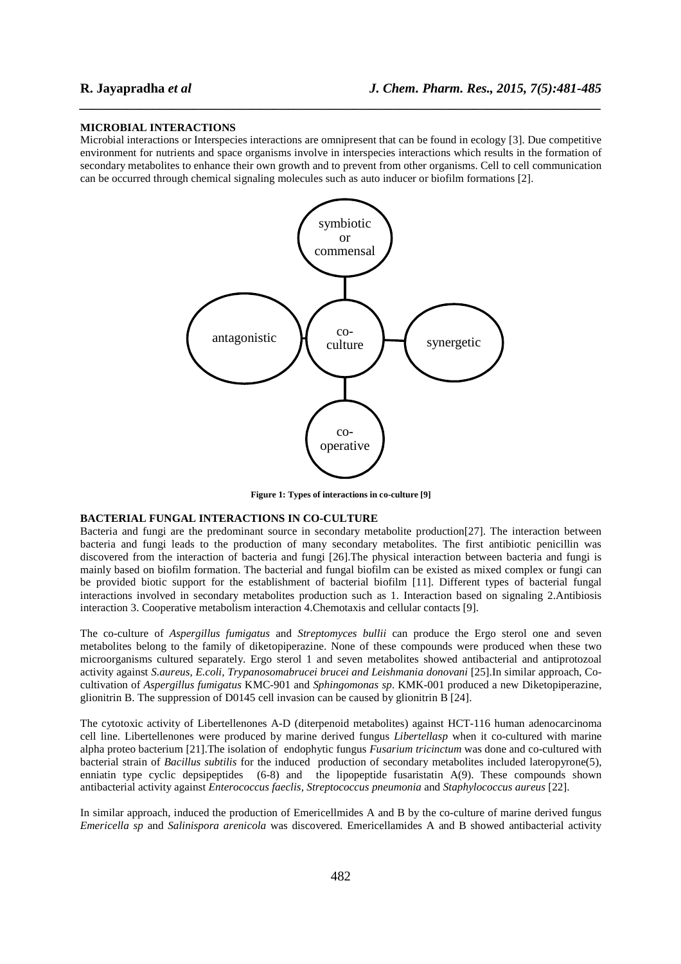### **MICROBIAL INTERACTIONS**

Microbial interactions or Interspecies interactions are omnipresent that can be found in ecology [3]. Due competitive environment for nutrients and space organisms involve in interspecies interactions which results in the formation of secondary metabolites to enhance their own growth and to prevent from other organisms. Cell to cell communication can be occurred through chemical signaling molecules such as auto inducer or biofilm formations [2].

*\_\_\_\_\_\_\_\_\_\_\_\_\_\_\_\_\_\_\_\_\_\_\_\_\_\_\_\_\_\_\_\_\_\_\_\_\_\_\_\_\_\_\_\_\_\_\_\_\_\_\_\_\_\_\_\_\_\_\_\_\_\_\_\_\_\_\_\_\_\_\_\_\_\_\_\_\_\_*



**Figure 1: Types of interactions in co-culture [9]** 

### **BACTERIAL FUNGAL INTERACTIONS IN CO-CULTURE**

Bacteria and fungi are the predominant source in secondary metabolite production[27]. The interaction between bacteria and fungi leads to the production of many secondary metabolites. The first antibiotic penicillin was discovered from the interaction of bacteria and fungi [26].The physical interaction between bacteria and fungi is mainly based on biofilm formation. The bacterial and fungal biofilm can be existed as mixed complex or fungi can be provided biotic support for the establishment of bacterial biofilm [11]. Different types of bacterial fungal interactions involved in secondary metabolites production such as 1. Interaction based on signaling 2.Antibiosis interaction 3. Cooperative metabolism interaction 4.Chemotaxis and cellular contacts [9].

The co-culture of *Aspergillus fumigatus* and *Streptomyces bullii* can produce the Ergo sterol one and seven metabolites belong to the family of diketopiperazine. None of these compounds were produced when these two microorganisms cultured separately. Ergo sterol 1 and seven metabolites showed antibacterial and antiprotozoal activity against *S.aureus, E.coli, Trypanosomabrucei brucei and Leishmania donovani* [25].In similar approach, Cocultivation of *Aspergillus fumigatus* KMC-901 and *Sphingomonas sp*. KMK-001 produced a new Diketopiperazine, glionitrin B. The suppression of D0145 cell invasion can be caused by glionitrin B [24].

The cytotoxic activity of Libertellenones A-D (diterpenoid metabolites) against HCT-116 human adenocarcinoma cell line. Libertellenones were produced by marine derived fungus *Libertellasp* when it co-cultured with marine alpha proteo bacterium [21].The isolation of endophytic fungus *Fusarium tricinctum* was done and co-cultured with bacterial strain of *Bacillus subtilis* for the induced production of secondary metabolites included lateropyrone(5), enniatin type cyclic depsipeptides (6-8) and the lipopeptide fusaristatin A(9). These compounds shown antibacterial activity against *Enterococcus faeclis, Streptococcus pneumonia* and *Staphylococcus aureus* [22].

In similar approach, induced the production of Emericellmides A and B by the co-culture of marine derived fungus *Emericella sp* and *Salinispora arenicola* was discovered*.* Emericellamides A and B showed antibacterial activity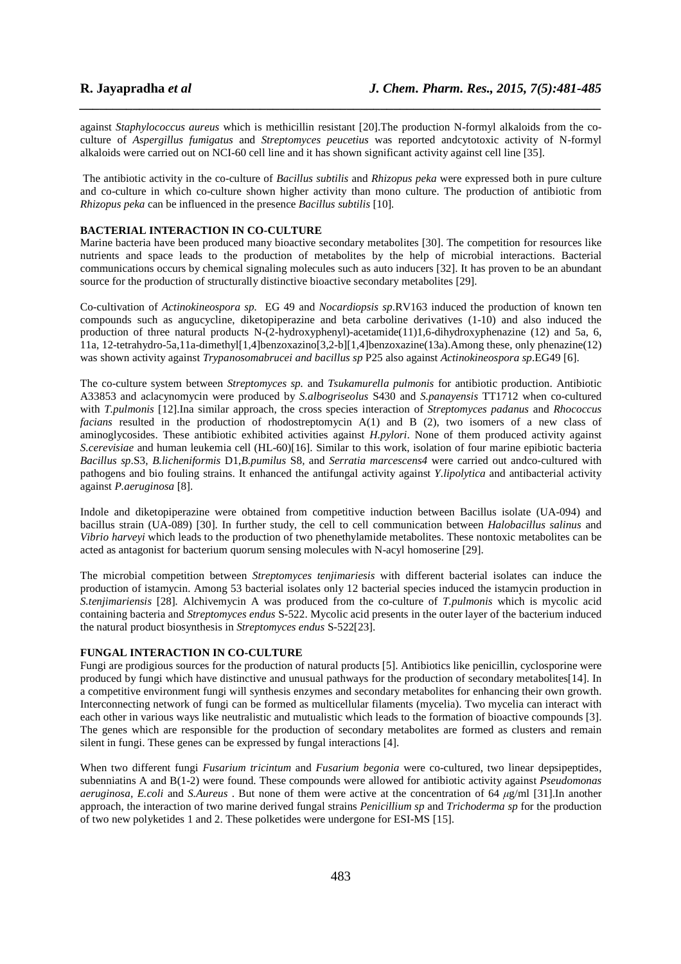against *Staphylococcus aureus* which is methicillin resistant [20].The production N-formyl alkaloids from the coculture of *Aspergillus fumigatus* and *Streptomyces peucetius* was reported andcytotoxic activity of N-formyl alkaloids were carried out on NCI-60 cell line and it has shown significant activity against cell line [35].

*\_\_\_\_\_\_\_\_\_\_\_\_\_\_\_\_\_\_\_\_\_\_\_\_\_\_\_\_\_\_\_\_\_\_\_\_\_\_\_\_\_\_\_\_\_\_\_\_\_\_\_\_\_\_\_\_\_\_\_\_\_\_\_\_\_\_\_\_\_\_\_\_\_\_\_\_\_\_*

 The antibiotic activity in the co-culture of *Bacillus subtilis* and *Rhizopus peka* were expressed both in pure culture and co-culture in which co-culture shown higher activity than mono culture. The production of antibiotic from *Rhizopus peka* can be influenced in the presence *Bacillus subtilis* [10]*.* 

# **BACTERIAL INTERACTION IN CO-CULTURE**

Marine bacteria have been produced many bioactive secondary metabolites [30]. The competition for resources like nutrients and space leads to the production of metabolites by the help of microbial interactions. Bacterial communications occurs by chemical signaling molecules such as auto inducers [32]. It has proven to be an abundant source for the production of structurally distinctive bioactive secondary metabolites [29].

Co-cultivation of *Actinokineospora sp.* EG 49 and *Nocardiopsis sp*.RV163 induced the production of known ten compounds such as angucycline, diketopiperazine and beta carboline derivatives (1-10) and also induced the production of three natural products N- $(2-hydroxyphenyl)$ -acetamide $(11)1.6$ -dihydroxyphenazine (12) and 5a, 6, 11a, 12-tetrahydro-5a,11a-dimethyl[1,4]benzoxazino[3,2-b][1,4]benzoxazine(13a).Among these, only phenazine(12) was shown activity against *Trypanosomabrucei and bacillus sp* P25 also against *Actinokineospora sp*.EG49 [6].

The co-culture system between *Streptomyces sp.* and *Tsukamurella pulmonis* for antibiotic production. Antibiotic A33853 and aclacynomycin were produced by *S.albogriseolus* S430 and *S.panayensis* TT1712 when co-cultured with *T.pulmonis* [12].Ina similar approach, the cross species interaction of *Streptomyces padanus* and *Rhococcus facians* resulted in the production of rhodostreptomycin A(1) and B (2), two isomers of a new class of aminoglycosides. These antibiotic exhibited activities against *H.pylori*. None of them produced activity against *S.cerevisiae* and human leukemia cell (HL-60)[16]. Similar to this work, isolation of four marine epibiotic bacteria *Bacillus sp*.S3, *B.licheniformis* D1,*B.pumilus* S8*,* and *Serratia marcescens4* were carried out andco-cultured with pathogens and bio fouling strains. It enhanced the antifungal activity against *Y.lipolytica* and antibacterial activity against *P.aeruginosa* [8].

Indole and diketopiperazine were obtained from competitive induction between Bacillus isolate (UA-094) and bacillus strain (UA-089) [30]. In further study, the cell to cell communication between *Halobacillus salinus* and *Vibrio harveyi* which leads to the production of two phenethylamide metabolites. These nontoxic metabolites can be acted as antagonist for bacterium quorum sensing molecules with N-acyl homoserine [29].

The microbial competition between *Streptomyces tenjimariesis* with different bacterial isolates can induce the production of istamycin. Among 53 bacterial isolates only 12 bacterial species induced the istamycin production in *S.tenjimariensis* [28]*.* Alchivemycin A was produced from the co-culture of *T.pulmonis* which is mycolic acid containing bacteria and *Streptomyces endus* S-522. Mycolic acid presents in the outer layer of the bacterium induced the natural product biosynthesis in *Streptomyces endus* S-522[23].

### **FUNGAL INTERACTION IN CO-CULTURE**

Fungi are prodigious sources for the production of natural products [5]. Antibiotics like penicillin, cyclosporine were produced by fungi which have distinctive and unusual pathways for the production of secondary metabolites[14]. In a competitive environment fungi will synthesis enzymes and secondary metabolites for enhancing their own growth. Interconnecting network of fungi can be formed as multicellular filaments (mycelia). Two mycelia can interact with each other in various ways like neutralistic and mutualistic which leads to the formation of bioactive compounds [3]. The genes which are responsible for the production of secondary metabolites are formed as clusters and remain silent in fungi. These genes can be expressed by fungal interactions [4].

When two different fungi *Fusarium tricintum* and *Fusarium begonia* were co-cultured, two linear depsipeptides, subenniatins A and B(1-2) were found. These compounds were allowed for antibiotic activity against *Pseudomonas aeruginosa, E.coli* and *S.Aureus* . But none of them were active at the concentration of 64 *µ*g/ml [31].In another approach, the interaction of two marine derived fungal strains *Penicillium sp* and *Trichoderma sp* for the production of two new polyketides 1 and 2. These polketides were undergone for ESI-MS [15].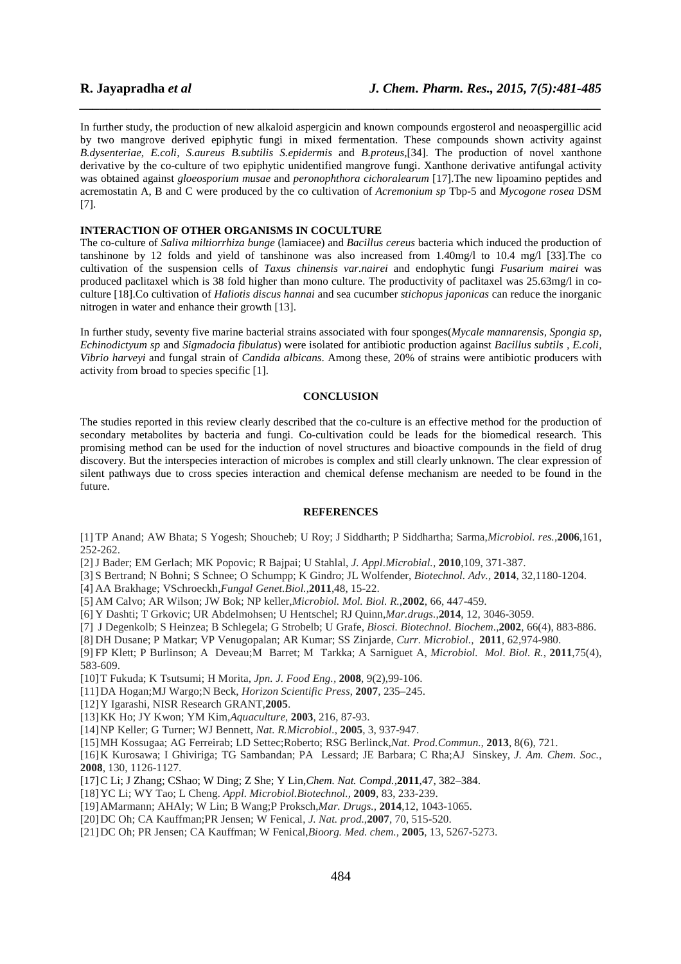In further study, the production of new alkaloid aspergicin and known compounds ergosterol and neoaspergillic acid by two mangrove derived epiphytic fungi in mixed fermentation. These compounds shown activity against *B.dysenteriae, E.coli, S.aureus B.subtilis S.epidermis* and *B.proteus,*[34]. The production of novel xanthone derivative by the co-culture of two epiphytic unidentified mangrove fungi. Xanthone derivative antifungal activity was obtained against *gloeosporium musae* and *peronophthora cichoralearum* [17].The new lipoamino peptides and acremostatin A, B and C were produced by the co cultivation of *Acremonium sp* Tbp-5 and *Mycogone rosea* DSM [7].

*\_\_\_\_\_\_\_\_\_\_\_\_\_\_\_\_\_\_\_\_\_\_\_\_\_\_\_\_\_\_\_\_\_\_\_\_\_\_\_\_\_\_\_\_\_\_\_\_\_\_\_\_\_\_\_\_\_\_\_\_\_\_\_\_\_\_\_\_\_\_\_\_\_\_\_\_\_\_*

# **INTERACTION OF OTHER ORGANISMS IN COCULTURE**

The co-culture of *Saliva miltiorrhiza bunge* (lamiacee) and *Bacillus cereus* bacteria which induced the production of tanshinone by 12 folds and yield of tanshinone was also increased from 1.40mg/l to 10.4 mg/l [33].The co cultivation of the suspension cells of *Taxus chinensis var.nairei* and endophytic fungi *Fusarium mairei* was produced paclitaxel which is 38 fold higher than mono culture. The productivity of paclitaxel was 25.63mg/l in coculture [18].Co cultivation of *Haliotis discus hannai* and sea cucumber *stichopus japonicas* can reduce the inorganic nitrogen in water and enhance their growth [13].

In further study, seventy five marine bacterial strains associated with four sponges(*Mycale mannarensis, Spongia sp, Echinodictyum sp* and *Sigmadocia fibulatus*) were isolated for antibiotic production against *Bacillus subtils , E.coli, Vibrio harveyi* and fungal strain of *Candida albicans*. Among these, 20% of strains were antibiotic producers with activity from broad to species specific [1].

# **CONCLUSION**

The studies reported in this review clearly described that the co-culture is an effective method for the production of secondary metabolites by bacteria and fungi. Co-cultivation could be leads for the biomedical research. This promising method can be used for the induction of novel structures and bioactive compounds in the field of drug discovery. But the interspecies interaction of microbes is complex and still clearly unknown. The clear expression of silent pathways due to cross species interaction and chemical defense mechanism are needed to be found in the future.

## **REFERENCES**

[1] TP Anand; AW Bhata; S Yogesh; Shoucheb; U Roy; J Siddharth; P Siddhartha; Sarma,*Microbiol. res.,***2006**,161, 252-262.

[2]J Bader; EM Gerlach; MK Popovic; R Bajpai; U Stahlal, *J. Appl.Microbial.,* **2010**,109, 371-387.

[3] S Bertrand; N Bohni; S Schnee; O Schumpp; K Gindro; JL Wolfender, *Biotechnol. Adv.,* **2014**, 32,1180-1204.

[4] AA Brakhage; VSchroeckh,*Fungal Genet.Biol.*,**2011**,48, 15-22.

[5] AM Calvo; AR Wilson; JW Bok; NP keller,*Microbiol. Mol. Biol. R.*,**2002**, 66, 447-459.

[6] Y Dashti; T Grkovic; UR Abdelmohsen; U Hentschel; RJ Quinn,*Mar.drugs.*,**2014**, 12, 3046-3059.

[7] J Degenkolb; S Heinzea; B Schlegela; G Strobelb; U Grafe, *Biosci. Biotechnol. Biochem.*,**2002**, 66(4), 883-886.

[8] DH Dusane; P Matkar; VP Venugopalan; AR Kumar; SS Zinjarde, *Curr. Microbiol.,* **2011**, 62,974-980.

[9] FP Klett; P Burlinson; A Deveau;M Barret; M Tarkka; A Sarniguet A, *Microbiol. Mol. Biol. R.*, **2011**,75(4), 583-609.

[10]T Fukuda; K Tsutsumi; H Morita, *Jpn. J. Food Eng.,* **2008**, 9(2),99-106.

[11]DA Hogan;MJ Wargo;N Beck, *Horizon Scientific Press*, **2007**, 235–245.

[12]Y Igarashi, NISR Research GRANT,**2005**.

[13]KK Ho; JY Kwon; YM Kim,*Aquaculture,* **2003**, 216, 87-93.

[14]NP Keller; G Turner; WJ Bennett, *Nat. R.Microbiol.*, **2005**, 3, 937-947.

[15]MH Kossugaa; AG Ferreirab; LD Settec;Roberto; RSG Berlinck,*Nat. Prod.Commun.,* **2013**, 8(6), 721.

[16]K Kurosawa; I Ghiviriga; TG Sambandan; PA Lessard; JE Barbara; C Rha;AJ Sinskey, *J. Am. Chem. Soc.*, **2008**, 130, 1126-1127.

[17]C Li; J Zhang; CShao; W Ding; Z She; Y Lin,*Chem. Nat. Compd.,***2011**,47, 382–384.

[18]YC Li; WY Tao; L Cheng. *Appl. Microbiol.Biotechnol.,* **2009**, 83, 233-239.

[19]AMarmann; AHAly; W Lin; B Wang;P Proksch,*Mar. Drugs.,* **2014**,12, 1043-1065.

[20]DC Oh; CA Kauffman;PR Jensen; W Fenical, *J. Nat. prod.*,**2007**, 70, 515-520.

[21]DC Oh; PR Jensen; CA Kauffman; W Fenical,*Bioorg. Med. chem.,* **2005**, 13, 5267-5273.